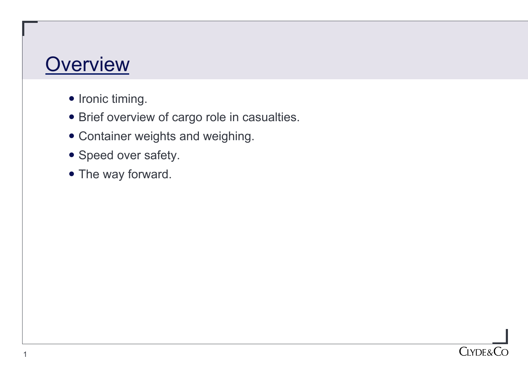#### **Overview**

- Ironic timing.
- Brief overview of cargo role in casualties.
- Container weights and weighing.
- Speed over safety.
- The way forward.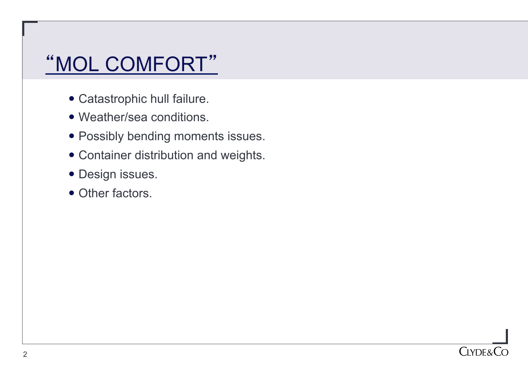# "MOL COMFORT"

- Catastrophic hull failure.
- Weather/sea conditions.
- Possibly bending moments issues.
- Container distribution and weights.
- Design issues.
- Other factors.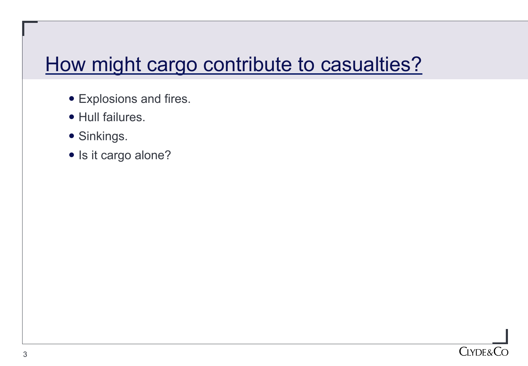## How might cargo contribute to casualties?

- Explosions and fires.
- Hull failures.
- Sinkings.
- Is it cargo alone?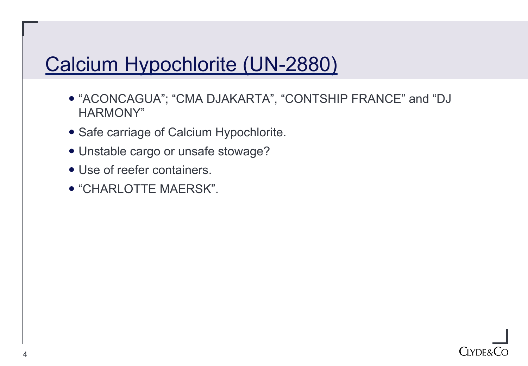# Calcium Hypochlorite (UN-2880)

- "ACONCAGUA"; "CMA DJAKARTA", "CONTSHIP FRANCE" and "DJ HARMONY"
- Safe carriage of Calcium Hypochlorite.
- Unstable cargo or unsafe stowage?
- Use of reefer containers.
- "CHARLOTTE MAERSK".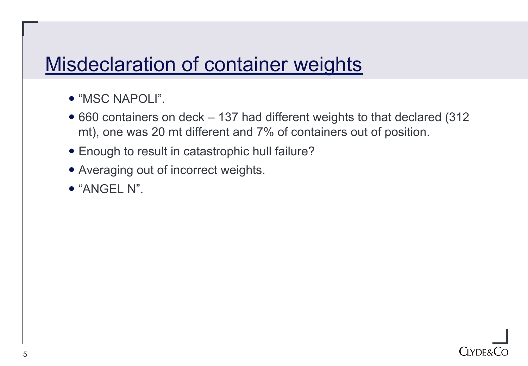#### Misdeclaration of container weights

- "MSC NAPOLI".
- 660 containers on deck 137 had different weights to that declared (312) mt), one was 20 mt different and 7% of containers out of position.
- Enough to result in catastrophic hull failure?
- Averaging out of incorrect weights.
- "ANGEL N".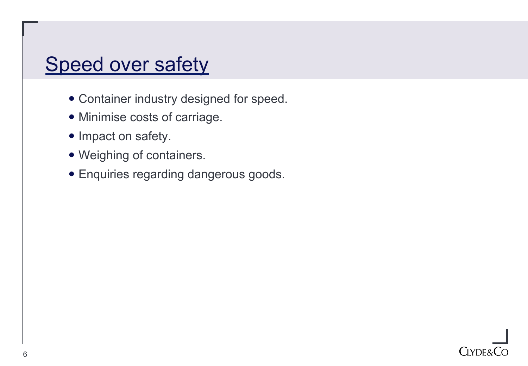## Speed over safety

- Container industry designed for speed.
- Minimise costs of carriage.
- Impact on safety.
- Weighing of containers.
- Enquiries regarding dangerous goods.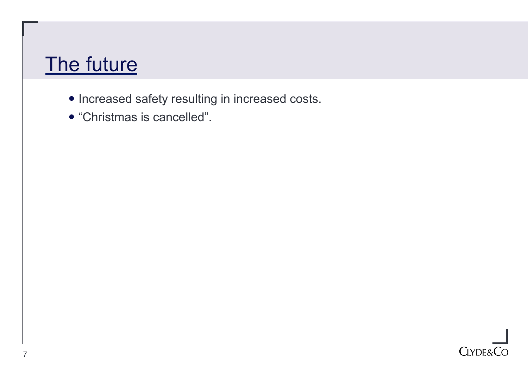#### The future

- Increased safety resulting in increased costs.
- "Christmas is cancelled".